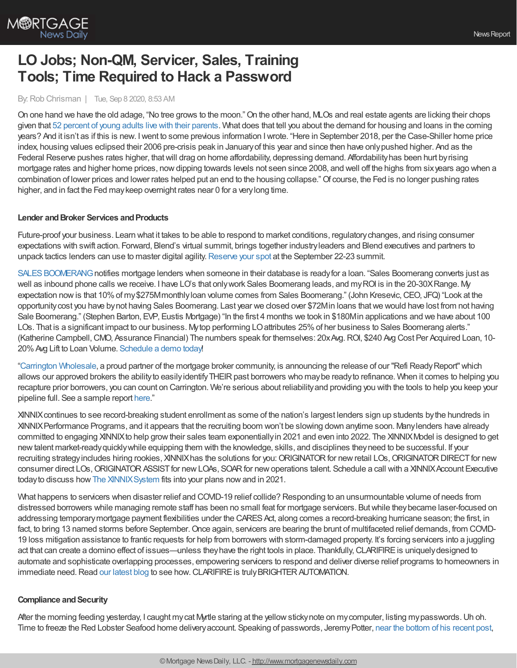

# **LO Jobs; Non-QM, Servicer, Sales, Training Tools; Time Required to Hack a Password**

#### By:Rob Chrisman | Tue, Sep 8 2020, 8:53 AM

On one hand we have the old adage, "No tree grows to the moon."On the other hand, MLOs and real estate agents are licking their chops given that 52 percent of young adults live with their [parents.](https://www.cnn.com/2020/09/04/us/children-living-with-parents-pandemic-pew/index.html) What does that tell you about the demand for housing and loans in the coming years? And it isn't as if this is new. Iwent to some previous information Iwrote. "Here in September 2018, per the Case-Shiller home price index, housing values eclipsed their 2006 pre-crisis peak in Januaryof this year and since then have onlypushed higher. And as the Federal Reserve pushes rates higher, that will drag on home affordability, depressing demand. Affordability has been hurt by rising mortgage rates and higher home prices, nowdipping towards levels not seen since 2008, and well off the highs from sixyears ago when a combination of lower prices and lower rates helped put an end to the housing collapse."Of course, the Fed is no longer pushing rates higher, and in fact the Fed maykeep overnight rates near 0 for a verylong time.

### **Lender and Broker Services and Products**

Future-proof your business. Learn what it takes to be able to respond to market conditions, regulatorychanges, and rising consumer expectations with swift action. Forward, Blend's virtual summit, brings together industryleaders and Blend executives and partners to unpack tactics lenders can use to master digital agility. [Reserve](https://forward.blend.com/e/m25t52/?utm_source=chrisman&utm_medium=newsletter&utm_campaign=forwardreg) your spot at the September 22-23 summit.

SALES BOOMERANG notifies mortgage lenders when someone in their database is ready for a loan. "Sales Boomerang converts just as well as inbound phone calls we receive. I have LO's that only work Sales Boomerang leads, and my ROI is in the 20-30X Range. My expectation now is that 10% of my \$275Mmonthly loan volume comes from Sales Boomerang." (John Kresevic, CEO, JFQ) "Look at the opportunitycost you have bynot having Sales Boomerang. Last year we closed over \$72Min loans thatwe would have lost from not having Sale Boomerang." (Stephen Barton, EVP, Eustis Mortgage) "In the first 4 months we took in \$180Min applications and we have about 100 LOs. That is a significant impact to our business. My top performing LO attributes 25% of her business to Sales Boomerang alerts." (Katherine Campbell, CMO, Assurance Financial) The numbers speak for themselves: 20xAvg. ROI, \$240 Avg Cost Per Acquired Loan, 10-20%Avg Lift to Loan Volume. [Schedule](https://hubs.ly/H0vBYyq0) a demo today!

"Carrington [Wholesale](https://www.carringtonwholesale.com/?utm_source=chrisman&utm_medium=email&utm_campaign=refi%20ready%20report), a proud partner of the mortgage broker community, is announcing the release of our "Refi ReadyReport"which allows our approved brokers the ability to easily identify THEIR past borrowers who may be ready to refinance. When it comes to helping you recapture prior borrowers, you can count on Carrington. We're serious about reliabilityand providing you with the tools to help you keep your pipeline full. See a sample report [here.](https://cms.carringtonwholesale.com/broker-iq-refi-ready-report?utm_source=chrisman&utm_medium=email&utm_campaign=refi%20ready%20report)"

XINNIXcontinues to see record-breaking student enrollment as some of the nation's largest lenders sign up students bythe hundreds in XINNIXPerformance Programs, and it appears that the recruiting boom won't be slowing down anytime soon. Manylenders have already committed to engaging XINNIXto help growtheir sales team exponentiallyin 2021 and even into 2022. The XINNIXModel is designed to get newtalent market-readyquicklywhile equipping them with the knowledge, skills, and disciplines theyneed to be successful. If your recruiting strategy includes hiring rookies, XINNIX has the solutions for you: ORIGINATOR for new retail LOs, ORIGINATOR DIRECT for new consumer direct LOs, ORIGINATOR ASSIST for new LOAs, SOAR for new operations talent. Schedule a call with a XINNIX Account Executive todayto discuss howThe [XINNIXSystem](https://www.xinnix.com/offerings/the-xinnix-system/) fits into your plans nowand in 2021.

What happens to servicers when disaster relief and COVID-19 relief collide? Responding to an unsurmountable volume of needs from distressed borrowers while managing remote staff has been no small feat for mortgage servicers. Butwhile theybecame laser-focused on addressing temporary mortgage payment flexibilities under the CARES Act, along comes a record-breaking hurricane season; the first, in fact, to bring 13 named storms before September. Once again, servicers are bearing the brunt of multifaceted relief demands, from COVID-19 loss mitigation assistance to frantic requests for help from borrowers with storm-damaged property. It's forcing servicers into a juggling act that can create a domino effect of issues—unless they have the right tools in place. Thankfully, CLARIFIRE is uniquely designed to automate and sophisticate overlapping processes, empowering servicers to respond and deliver diverse relief programs to homeowners in immediate need. Read our [latest](https://blog.eclarifire.com/multiple-disasters-create-domino-effect-for-servicers?utm_campaign=Chrisman%20Ads&utm_source=Chrisman%20Ads&utm_medium=Chrisman%20Ad%202020-09-08) blog to see how. CLARIFIRE is truly BRIGHTER AUTOMATION.

### **Compliance and Security**

After the morning feeding yesterday, I caught mycat Myrtle staring at the yellowstickynote on mycomputer, listing mypasswords.Uh oh. Time to freeze the Red Lobster Seafood home deliveryaccount. Speaking of passwords, JeremyPotter, near the [bottom](https://medium.com/@jeremydpotter/saturday-cup-of-joe-from-detroit-87d86a5f15ea) of his recent post,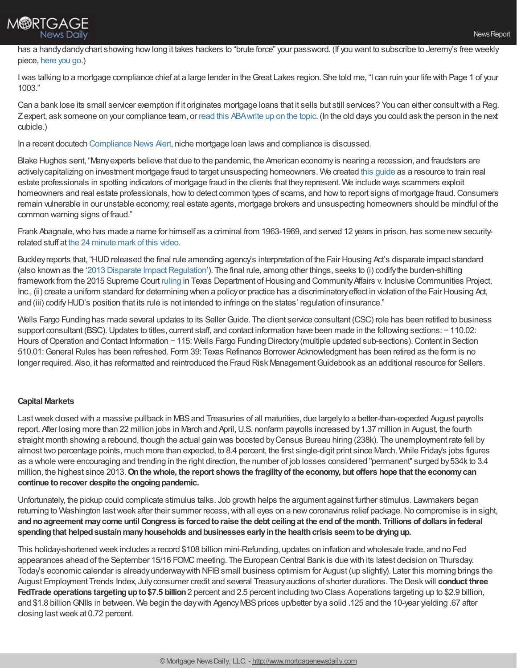

has a handy dandy chart showing how long it takes hackers to "brute force" your password. (If you want to subscribe to Jeremy's free weekly piece, [here](https://mailchi.mp/8b150546380e/chrisman-referrals) you go.)

Iwas talking to a mortgage compliance chief at a large lender in theGreat Lakes region. She told me, "I can ruin your life with Page 1 of your 1003."

Can a bank lose its small servicer exemption if it originates mortgage loans that it sells but still services? You can either consultwith a Reg. Zexpert, ask someone on your compliance team, or read this [ABAwrite](https://bankingjournal.aba.com/2020/09/can-a-bank-lose-its-small-servicer-exemption-if-it-originates-mortgage-loans-that-it-sells-but-still-services/) up on the topic. (In the old days you could ask the person in the next cubicle.)

In a recent docutech [Compliance](https://compliance.docutech.com/2020/07/22/compliance-statement-docutech-and-niche-mortgage-loan-laws/?utm_medium=email&_hsmi=91860954&_hsenc=p2ANqtz--Mz6S_GPsHJoarGuJO9zudU19Z0GrC8h4rbTYgj6C-85r9K9rXf_0s2jxELz1pSYTZGt9iKnAt1SSN1uuNLHM_A0xaiw&utm_content=91860954&utm_source=hs_email) News Alert, niche mortgage loan laws and compliance is discussed.

Blake Hughes sent, "Manyexperts believe that due to the pandemic, the American economyis nearing a recession, and fraudsters are actively capitalizing on investment mortgage fraud to target unsuspecting homeowners. We created this [guide](https://www.interest.com/mortgage/mortgage-fraud-amid-the-pandemic/) as a resource to train real estate professionals in spotting indicators of mortgage fraud in the clients that theyrepresent. We include ways scammers exploit homeowners and real estate professionals, howto detect common types of scams, and howto report signs of mortgage fraud.Consumers remain vulnerable in our unstable economy; real estate agents, mortgage brokers and unsuspecting homeowners should be mindful of the common warning signs of fraud."

Frank Abagnale,who has made a name for himself as a criminal from 1963-1969, and served 12 years in prison, has some newsecurityrelated stuff at the 24 [minute](https://www.mx.com/summit/2020/?utm_source=Onetime&utm_medium=Email&utm_treatment=MoneyExperienceSummit-Post-Event-On-Demand&mkt_tok=eyJpIjoiWmpKbU1Ea3haVFk0T0RVNCIsInQiOiJJeFZZZDNcLzNVMlI5cDFLeW0wREhHbjZPOXVUUWRRNTVQWk5cL1owKzlUNmpkWVA0eERuU0Q3b2duMnlLV1BBMVhkY08wd3ZsTUNtV0RJTm03SUZmS3huaDI2b3d3XC82MldXSkJvMXZYV1hpMmxmaXpSN1wvTTViNVl6U1paS1ZkQzgifQ%253D%253D&session=mainstage-abagnale-gardner) mark of this video.

Buckley reports that, "HUD released the final rule amending agency's interpretation of the Fair Housing Act's disparate impact standard (also known as the '2013 Disparate Impact Regulation'). The final rule, among other things, seeks to (i) codify the burden-shifting framework from the 2015 Supreme Court [ruling](https://info.buckleyfirm.com/yKPRxeI50H0GVIo00n00010) in Texas Department of Housing and Community Affairs v. Inclusive Communities Project, Inc., (ii) create a uniform standard for determining when a policyor practice has a discriminatoryeffect in violation of the Fair Housing Act, and (iii) codifyHUD's position that its rule is not intended to infringe on the states' regulation of insurance."

Wells Fargo Funding has made several updates to its Seller Guide. The client service consultant (CSC) role has been retitled to business support consultant (BSC). Updates to titles, current staff, and contact information have been made in the following sections: − 110.02: Hours of Operation and Contact Information − 115: Wells Fargo Funding Directory (multiple updated sub-sections). Content in Section 510.01:General Rules has been refreshed. Form 39: Texas Refinance Borrower Acknowledgment has been retired as the form is no longer required. Also, it has reformatted and reintroduced the Fraud Risk Management Guidebook as an additional resource for Sellers.

## **Capital Markets**

Last week closed with a massive pullback in MBS and Treasuries of all maturities, due largely to a better-than-expected August payrolls report. After losing more than 22 million jobs in March and April,U.S. nonfarm payrolls increased by1.37 million in August, the fourth straight month showing a rebound, though the actual gain was boosted byCensus Bureau hiring (238k). The unemployment rate fell by almost two percentage points, much more than expected, to 8.4 percent, the first single-digit print since March. While Friday's jobs figures as a whole were encouraging and trending in the right direction, the number of job losses considered "permanent" surged by534k to 3.4 million, the highest since 2013.**Onthewhole, the report shows the fragilityof the economy, but offers hope that the economycan continue to recover despite the ongoing pandemic.** 

Unfortunately, the pickup could complicate stimulus talks. Job growth helps the argument against further stimulus. Lawmakers began returning to Washington last week after their summer recess, with all eyes on a new coronavirus relief package. No compromise is in sight, and no agreement may come until Congress is forced to raise the debt ceiling at the end of the month. Trillions of dollars in federal **spendingthat helpedsustainmanyhouseholds andbusinesses earlyinthe healthcrisis seemtobe dryingup.**

This holiday-shortened week includes a record \$108 billion mini-Refunding, updates on inflation and wholesale trade, and no Fed appearances ahead of the September 15/16 FOMC meeting. The European Central Bank is due with its latest decision on Thursday. Today's economic calendar is already underway with NFIB small business optimism for August (up slightly). Later this morning brings the August Employment Trends Index, Julyconsumer credit and several Treasuryauctions of shorter durations. The Deskwill **conduct three FedTrade operations targetingupto\$7.5 billion**2 percent and 2.5 percent including two Class Aoperations targeting up to \$2.9 billion, and \$1.8 billion GNIIs in between. We begin the day with Agency MBS prices up/better by a solid .125 and the 10-year yielding .67 after closing lastweek at 0.72 percent.